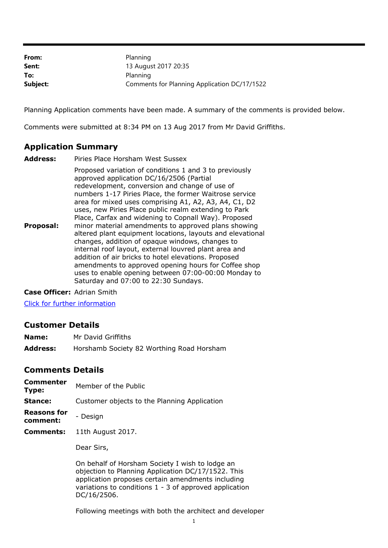| From:    | Planning                                     |
|----------|----------------------------------------------|
| Sent:    | 13 August 2017 20:35                         |
| To:      | Planning                                     |
| Subject: | Comments for Planning Application DC/17/1522 |

Planning Application comments have been made. A summary of the comments is provided below.

Comments were submitted at 8:34 PM on 13 Aug 2017 from Mr David Griffiths.

## **Application Summary**

**Address:** Piries Place Horsham West Sussex **Proposal:** Proposed variation of conditions 1 and 3 to previously approved application DC/16/2506 (Partial redevelopment, conversion and change of use of numbers 1-17 Piries Place, the former Waitrose service area for mixed uses comprising A1, A2, A3, A4, C1, D2 uses, new Piries Place public realm extending to Park Place, Carfax and widening to Copnall Way). Proposed minor material amendments to approved plans showing altered plant equipment locations, layouts and elevational changes, addition of opaque windows, changes to internal roof layout, external louvred plant area and addition of air bricks to hotel elevations. Proposed amendments to approved opening hours for Coffee shop uses to enable opening between 07:00-00:00 Monday to Saturday and 07:00 to 22:30 Sundays.

**Case Officer:** Adrian Smith

[Click for further information](https://public-access.horsham.gov.uk/public-access//centralDistribution.do?caseType=Application&keyVal=OSRI9CIJI6D00)

## **Customer Details**

- **Name:** Mr David Griffiths
- **Address:** Horshamb Society 82 Worthing Road Horsham

## **Comments Details**

- **Commenter Type:** Member of the Public
- **Stance:** Customer objects to the Planning Application
- **Reasons for comment:** - Design
- **Comments:** 11th August 2017.

Dear Sirs,

On behalf of Horsham Society I wish to lodge an objection to Planning Application DC/17/1522. This application proposes certain amendments including variations to conditions 1 - 3 of approved application DC/16/2506.

Following meetings with both the architect and developer